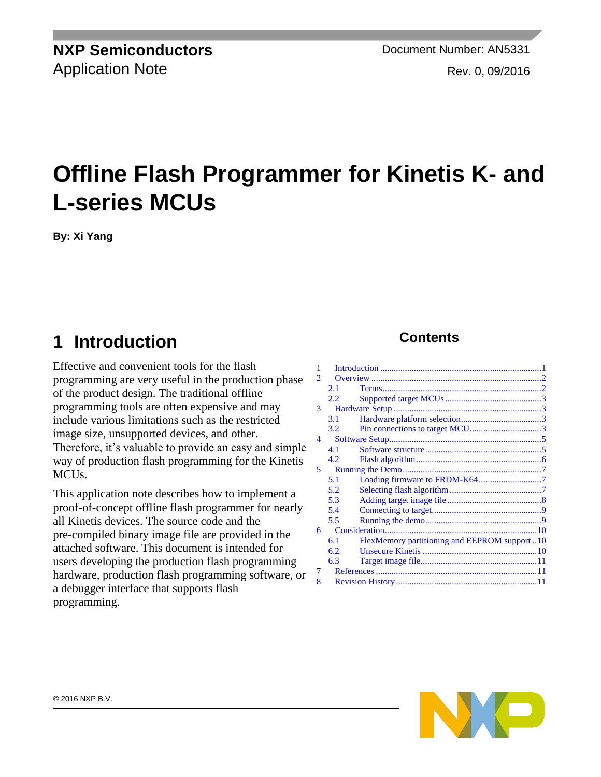**NXP Semiconductors** Document Number: AN5331 Application Note **Rev. 0, 09/2016** 

# **Offline Flash Programmer for Kinetis K- and L-series MCUs**

**By: Xi Yang**

## <span id="page-0-0"></span>**1 Introduction**

Effective and convenient tools for the flash programming are very useful in the production phase of the product design. The traditional offline programming tools are often expensive and may include various limitations such as the restricted image size, unsupported devices, and other. Therefore, it's valuable to provide an easy and simple way of production flash programming for the Kinetis MCU<sub>s</sub>.

This application note describes how to implement a proof-of-concept offline flash programmer for nearly all Kinetis devices. The source code and the pre-compiled binary image file are provided in the attached software. This document is intended for users developing the production flash programming hardware, production flash programming software, or a debugger interface that supports flash programming.

#### **Contents**

| 1 |                  |                                              |  |
|---|------------------|----------------------------------------------|--|
| 2 |                  |                                              |  |
|   | 2.1              |                                              |  |
|   | 2.2.             |                                              |  |
| 3 |                  |                                              |  |
|   | 3.1              |                                              |  |
|   | 3.2 <sub>1</sub> | Pin connections to target MCU3               |  |
| 4 |                  |                                              |  |
|   | 4.1              |                                              |  |
|   | 4.2.             |                                              |  |
| 5 |                  |                                              |  |
|   | 5.1              |                                              |  |
|   | 5.2              |                                              |  |
|   | 5.3              |                                              |  |
|   | 5.4              |                                              |  |
|   | 5.5              |                                              |  |
| 6 |                  |                                              |  |
|   | 6.1              | FlexMemory partitioning and EEPROM support10 |  |
|   | 6.2.             |                                              |  |
|   | 6.3              |                                              |  |
| 7 |                  |                                              |  |
| 8 |                  |                                              |  |

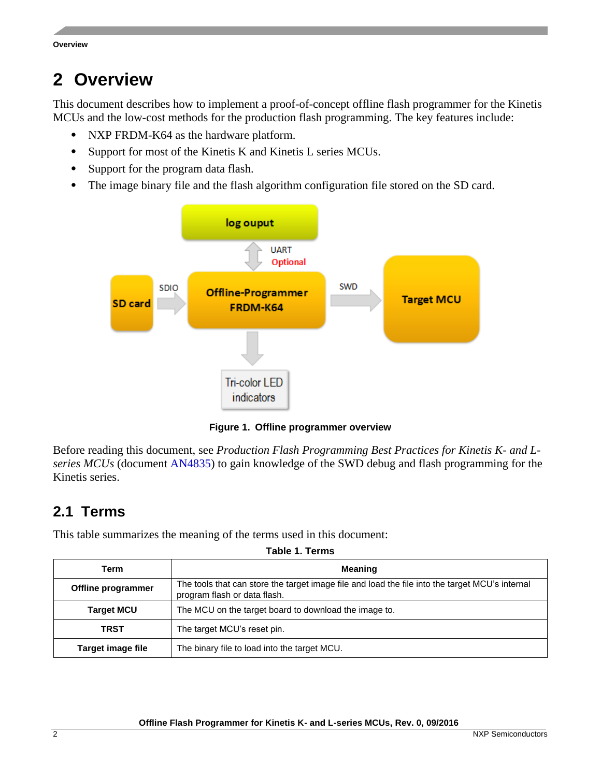### <span id="page-1-0"></span>**2 Overview**

This document describes how to implement a proof-of-concept offline flash programmer for the Kinetis MCUs and the low-cost methods for the production flash programming. The key features include:

- NXP FRDM-K64 as the hardware platform.
- Support for most of the Kinetis K and Kinetis L series MCUs.
- Support for the program data flash.
- The image binary file and the flash algorithm configuration file stored on the SD card.



**Figure 1. Offline programmer overview**

Before reading this document, see *Production Flash Programming Best Practices for Kinetis K- and Lseries MCUs* (document [AN4835\)](http://www.nxp.com/doc/AN4835) to gain knowledge of the SWD debug and flash programming for the Kinetis series.

#### <span id="page-1-1"></span>**2.1 Terms**

This table summarizes the meaning of the terms used in this document:

|  |  | Table 1. Terms |
|--|--|----------------|
|--|--|----------------|

| Term               | <b>Meaning</b>                                                                                                                  |  |
|--------------------|---------------------------------------------------------------------------------------------------------------------------------|--|
| Offline programmer | The tools that can store the target image file and load the file into the target MCU's internal<br>program flash or data flash. |  |
| <b>Target MCU</b>  | The MCU on the target board to download the image to.                                                                           |  |
| <b>TRST</b>        | The target MCU's reset pin.                                                                                                     |  |
| Target image file  | The binary file to load into the target MCU.                                                                                    |  |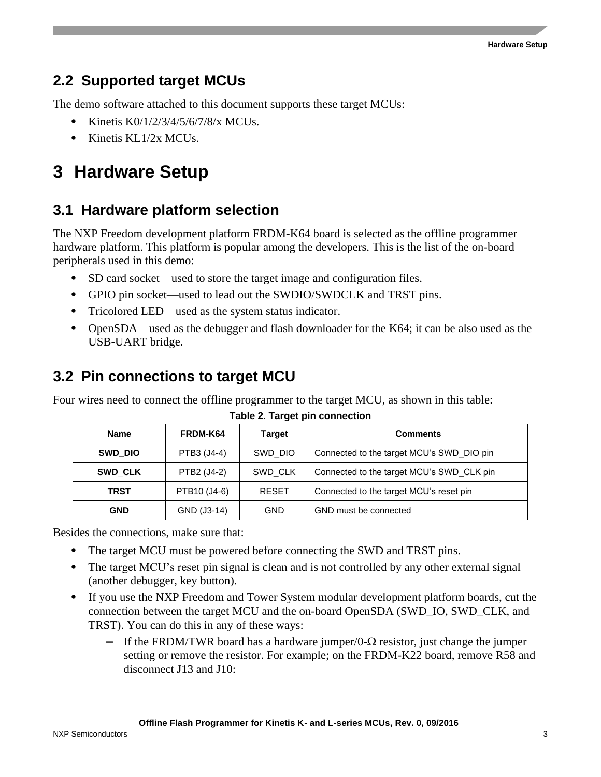#### <span id="page-2-0"></span>**2.2 Supported target MCUs**

The demo software attached to this document supports these target MCUs:

- Kinetis K0/1/2/3/4/5/6/7/8/x MCUs.
- Kinetis KL1/2x MCUs.

## <span id="page-2-1"></span>**3 Hardware Setup**

### <span id="page-2-2"></span>**3.1 Hardware platform selection**

The NXP Freedom development platform FRDM-K64 board is selected as the offline programmer hardware platform. This platform is popular among the developers. This is the list of the on-board peripherals used in this demo:

- SD card socket—used to store the target image and configuration files.
- GPIO pin socket—used to lead out the SWDIO/SWDCLK and TRST pins.
- Tricolored LED—used as the system status indicator.
- OpenSDA—used as the debugger and flash downloader for the K64; it can be also used as the USB-UART bridge.

#### <span id="page-2-3"></span>**3.2 Pin connections to target MCU**

Four wires need to connect the offline programmer to the target MCU, as shown in this table:

| <b>Name</b>            | FRDM-K64     | <b>Target</b> | <b>Comments</b>                           |
|------------------------|--------------|---------------|-------------------------------------------|
| PTB3 (J4-4)<br>SWD DIO |              | SWD DIO       | Connected to the target MCU's SWD DIO pin |
| <b>SWD CLK</b>         | PTB2 (J4-2)  | SWD CLK       | Connected to the target MCU's SWD CLK pin |
| <b>TRST</b>            | PTB10 (J4-6) | <b>RESET</b>  | Connected to the target MCU's reset pin   |
| <b>GND</b>             | GND (J3-14)  | <b>GND</b>    | GND must be connected                     |

**Table 2. Target pin connection**

Besides the connections, make sure that:

- The target MCU must be powered before connecting the SWD and TRST pins.
- The target MCU's reset pin signal is clean and is not controlled by any other external signal (another debugger, key button).
- If you use the NXP Freedom and Tower System modular development platform boards, cut the connection between the target MCU and the on-board OpenSDA (SWD\_IO, SWD\_CLK, and TRST). You can do this in any of these ways:
	- **—** If the FRDM/TWR board has a hardware jumper/0- $\Omega$  resistor, just change the jumper setting or remove the resistor. For example; on the FRDM-K22 board, remove R58 and disconnect J13 and J10: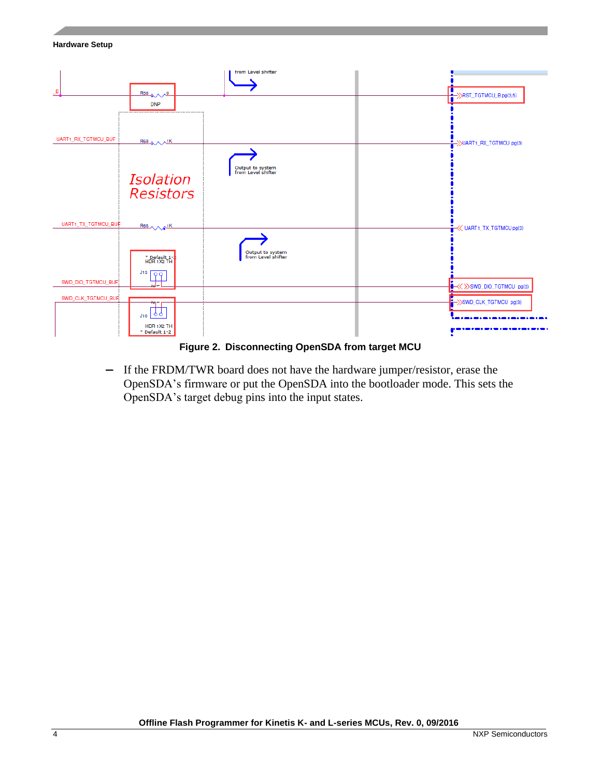#### **Hardware Setup**



#### **Figure 2. Disconnecting OpenSDA from target MCU**

**—** If the FRDM/TWR board does not have the hardware jumper/resistor, erase the OpenSDA's firmware or put the OpenSDA into the bootloader mode. This sets the OpenSDA's target debug pins into the input states.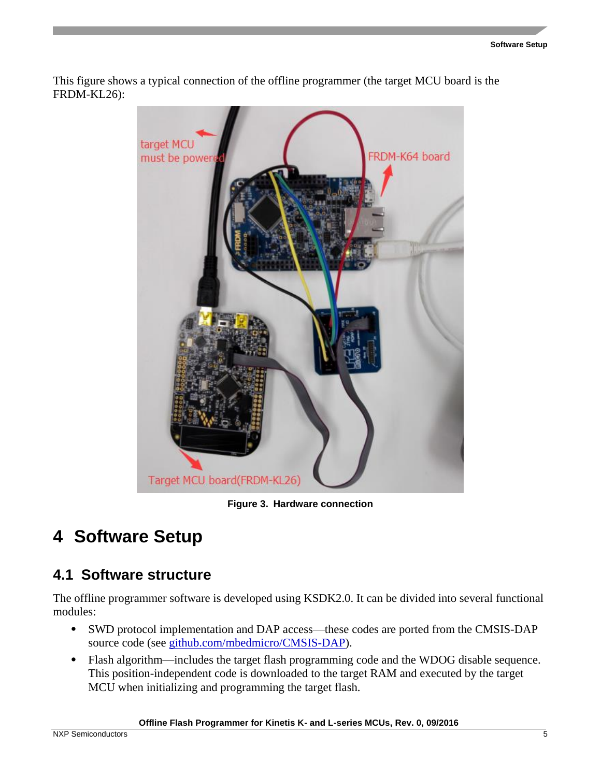This figure shows a typical connection of the offline programmer (the target MCU board is the FRDM-KL26):



**Figure 3. Hardware connection**

## <span id="page-4-0"></span>**4 Software Setup**

#### <span id="page-4-1"></span>**4.1 Software structure**

The offline programmer software is developed using KSDK2.0. It can be divided into several functional modules:

- SWD protocol implementation and DAP access—these codes are ported from the CMSIS-DAP source code (see [github.com/mbedmicro/CMSIS-DAP\)](https://github.com/mbedmicro/CMSIS-DAP).
- Flash algorithm—includes the target flash programming code and the WDOG disable sequence. This position-independent code is downloaded to the target RAM and executed by the target MCU when initializing and programming the target flash.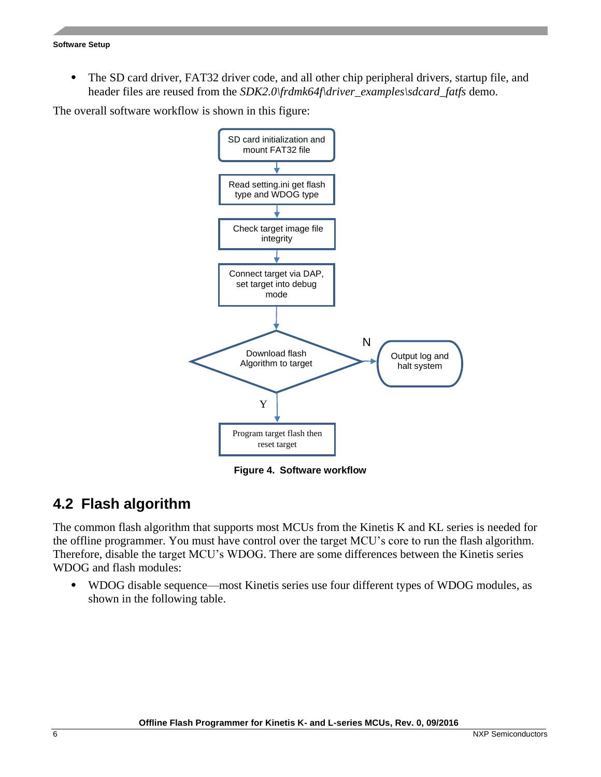• The SD card driver, FAT32 driver code, and all other chip peripheral drivers, startup file, and header files are reused from the *SDK2.0\frdmk64f\driver\_examples\sdcard\_fatfs* demo.

The overall software workflow is shown in this figure:



**Figure 4. Software workflow**

#### <span id="page-5-0"></span>**4.2 Flash algorithm**

The common flash algorithm that supports most MCUs from the Kinetis K and KL series is needed for the offline programmer. You must have control over the target MCU's core to run the flash algorithm. Therefore, disable the target MCU's WDOG. There are some differences between the Kinetis series WDOG and flash modules:

• WDOG disable sequence—most Kinetis series use four different types of WDOG modules, as shown in the following table.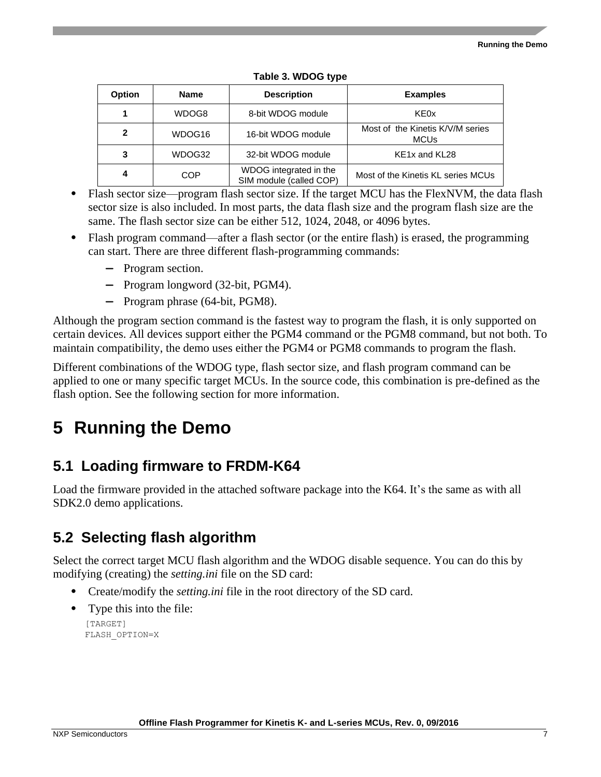| <b>Option</b><br><b>Name</b>      |                                                                 | <b>Description</b>                    | <b>Examples</b>                                 |
|-----------------------------------|-----------------------------------------------------------------|---------------------------------------|-------------------------------------------------|
|                                   | WDOG8                                                           | 8-bit WDOG module                     | KE0x                                            |
| 2                                 | WDOG16                                                          | 16-bit WDOG module                    | Most of the Kinetis K/V/M series<br><b>MCUs</b> |
| WDOG32<br>32-bit WDOG module<br>3 |                                                                 | KE <sub>1x</sub> and KL <sub>28</sub> |                                                 |
| 4                                 | WDOG integrated in the<br><b>COP</b><br>SIM module (called COP) |                                       | Most of the Kinetis KL series MCUs              |

#### **Table 3. WDOG type**

- Flash sector size—program flash sector size. If the target MCU has the FlexNVM, the data flash sector size is also included. In most parts, the data flash size and the program flash size are the same. The flash sector size can be either 512, 1024, 2048, or 4096 bytes.
- Flash program command—after a flash sector (or the entire flash) is erased, the programming can start. There are three different flash-programming commands:
	- **—** Program section.
	- **—** Program longword (32-bit, PGM4).
	- **—** Program phrase (64-bit, PGM8).

Although the program section command is the fastest way to program the flash, it is only supported on certain devices. All devices support either the PGM4 command or the PGM8 command, but not both. To maintain compatibility, the demo uses either the PGM4 or PGM8 commands to program the flash.

Different combinations of the WDOG type, flash sector size, and flash program command can be applied to one or many specific target MCUs. In the source code, this combination is pre-defined as the flash option. See the following section for more information.

## <span id="page-6-0"></span>**5 Running the Demo**

### <span id="page-6-1"></span>**5.1 Loading firmware to FRDM-K64**

Load the firmware provided in the attached software package into the K64. It's the same as with all SDK2.0 demo applications.

### <span id="page-6-2"></span>**5.2 Selecting flash algorithm**

Select the correct target MCU flash algorithm and the WDOG disable sequence. You can do this by modifying (creating) the *setting.ini* file on the SD card:

- Create/modify the *setting.ini* file in the root directory of the SD card.
- Type this into the file:

[TARGET] FLASH\_OPTION=X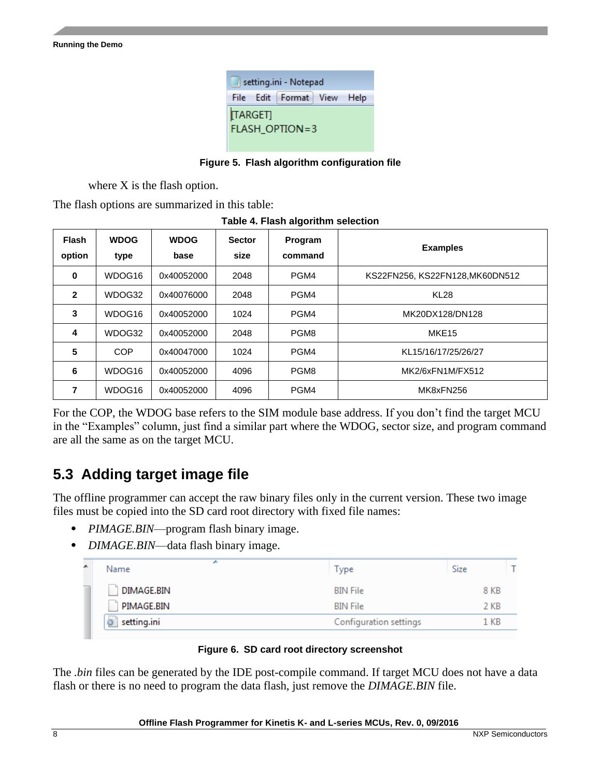| setting.ini - Notepad             |  |  |  |  |  |  |
|-----------------------------------|--|--|--|--|--|--|
| File Edit Format View Help        |  |  |  |  |  |  |
| [TARGET]<br><b>FLASH_OPTION=3</b> |  |  |  |  |  |  |

**Figure 5. Flash algorithm configuration file**

where X is the flash option.

The flash options are summarized in this table:

|  | Table 4. Flash algorithm selection |  |
|--|------------------------------------|--|
|  |                                    |  |

| <b>Flash</b><br>option | <b>WDOG</b><br>type | <b>WDOG</b><br>base | <b>Sector</b><br>size | Program<br>command | <b>Examples</b>                 |
|------------------------|---------------------|---------------------|-----------------------|--------------------|---------------------------------|
| 0                      | WDOG16              | 0x40052000          | 2048                  | PGM4               | KS22FN256, KS22FN128, MK60DN512 |
| $\mathbf{2}$           | WDOG32              | 0x40076000          | 2048                  | PGM4               | <b>KL28</b>                     |
| 3                      | WDOG16              | 0x40052000          | 1024                  | PGM4               | MK20DX128/DN128                 |
| 4                      | WDOG32              | 0x40052000          | 2048                  | PGM8               | MKE <sub>15</sub>               |
| 5                      | <b>COP</b>          | 0x40047000          | 1024                  | PGM4               | KL15/16/17/25/26/27             |
| 6                      | WDOG16              | 0x40052000          | 4096                  | PGM8               | MK2/6xFN1M/FX512                |
| 7                      | WDOG16              | 0x40052000          | 4096                  | PGM4               | MK8xFN256                       |

For the COP, the WDOG base refers to the SIM module base address. If you don't find the target MCU in the "Examples" column, just find a similar part where the WDOG, sector size, and program command are all the same as on the target MCU.

### <span id="page-7-0"></span>**5.3 Adding target image file**

The offline programmer can accept the raw binary files only in the current version. These two image files must be copied into the SD card root directory with fixed file names:

- *PIMAGE.BIN*—program flash binary image.
- *DIMAGE.BIN*—data flash binary image.

| ▴ | ∽<br>Name        | Type                   | <b>Size</b> |  |
|---|------------------|------------------------|-------------|--|
|   | DIMAGE.BIN       | <b>BIN File</b>        | 8 KB        |  |
|   | PIMAGE.BIN       | <b>BIN File</b>        | 2 KB        |  |
|   | €<br>setting.ini | Configuration settings | 1 KB        |  |
|   |                  |                        |             |  |

#### **Figure 6. SD card root directory screenshot**

The *.bin* files can be generated by the IDE post-compile command. If target MCU does not have a data flash or there is no need to program the data flash, just remove the *DIMAGE.BIN* file.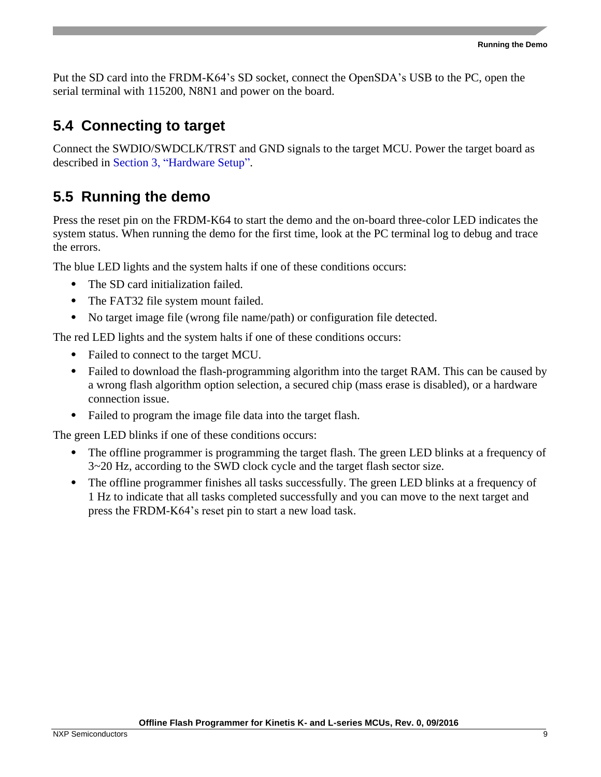Put the SD card into the FRDM-K64's SD socket, connect the OpenSDA's USB to the PC, open the serial terminal with 115200, N8N1 and power on the board.

#### <span id="page-8-0"></span>**5.4 Connecting to target**

Connect the SWDIO/SWDCLK/TRST and GND signals to the target MCU. Power the target board as described in Section [3,](#page-2-1) ["Hardware Setup"](#page-2-1).

#### <span id="page-8-1"></span>**5.5 Running the demo**

Press the reset pin on the FRDM-K64 to start the demo and the on-board three-color LED indicates the system status. When running the demo for the first time, look at the PC terminal log to debug and trace the errors.

The blue LED lights and the system halts if one of these conditions occurs:

- The SD card initialization failed.
- The FAT32 file system mount failed.
- No target image file (wrong file name/path) or configuration file detected.

The red LED lights and the system halts if one of these conditions occurs:

- Failed to connect to the target MCU.
- Failed to download the flash-programming algorithm into the target RAM. This can be caused by a wrong flash algorithm option selection, a secured chip (mass erase is disabled), or a hardware connection issue.
- Failed to program the image file data into the target flash.

The green LED blinks if one of these conditions occurs:

- The offline programmer is programming the target flash. The green LED blinks at a frequency of 3~20 Hz, according to the SWD clock cycle and the target flash sector size.
- The offline programmer finishes all tasks successfully. The green LED blinks at a frequency of 1 Hz to indicate that all tasks completed successfully and you can move to the next target and press the FRDM-K64's reset pin to start a new load task.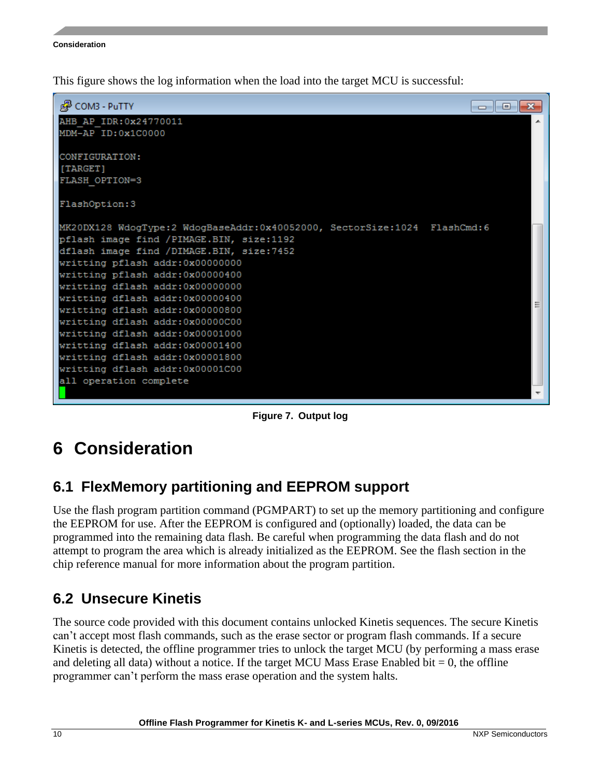This figure shows the log information when the load into the target MCU is successful:



**Figure 7. Output log**

## <span id="page-9-0"></span>**6 Consideration**

### <span id="page-9-1"></span>**6.1 FlexMemory partitioning and EEPROM support**

Use the flash program partition command (PGMPART) to set up the memory partitioning and configure the EEPROM for use. After the EEPROM is configured and (optionally) loaded, the data can be programmed into the remaining data flash. Be careful when programming the data flash and do not attempt to program the area which is already initialized as the EEPROM. See the flash section in the chip reference manual for more information about the program partition.

### <span id="page-9-2"></span>**6.2 Unsecure Kinetis**

The source code provided with this document contains unlocked Kinetis sequences. The secure Kinetis can't accept most flash commands, such as the erase sector or program flash commands. If a secure Kinetis is detected, the offline programmer tries to unlock the target MCU (by performing a mass erase and deleting all data) without a notice. If the target MCU Mass Erase Enabled bit  $= 0$ , the offline programmer can't perform the mass erase operation and the system halts.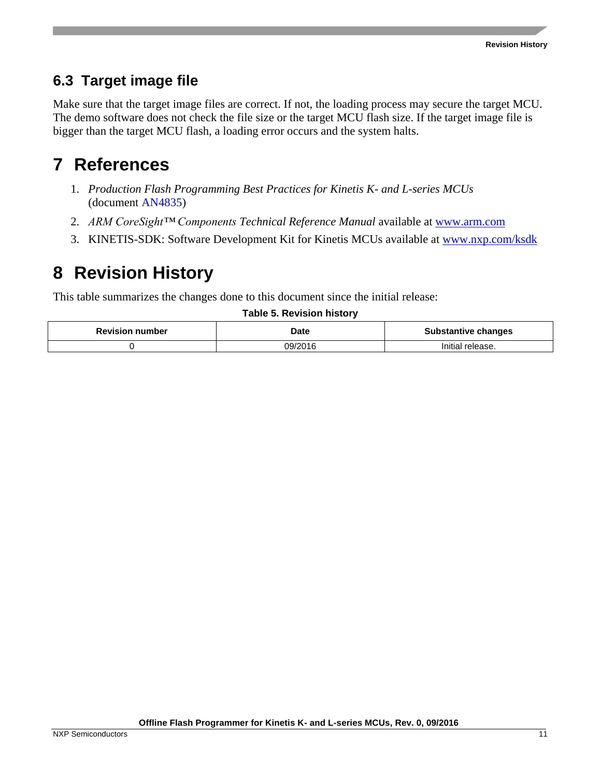#### <span id="page-10-0"></span>**6.3 Target image file**

Make sure that the target image files are correct. If not, the loading process may secure the target MCU. The demo software does not check the file size or the target MCU flash size. If the target image file is bigger than the target MCU flash, a loading error occurs and the system halts.

## <span id="page-10-1"></span>**7 References**

- 1. *Production Flash Programming Best Practices for Kinetis K- and L-series MCUs* (document [AN4835\)](http://www.nxp.com/doc/AN4835)
- 2. *ARM CoreSight™ Components Technical Reference Manual* available at [www.arm.com](http://www.arm.com/)
- 3. KINETIS-SDK: Software Development Kit for Kinetis MCUs available at [www.nxp.com/ksdk](http://www.nxp.com/ksdk)

## <span id="page-10-2"></span>**8 Revision History**

This table summarizes the changes done to this document since the initial release:

#### **Table 5. Revision history**

| <b>Revision number</b> | Date    | <b>Substantive changes</b> |
|------------------------|---------|----------------------------|
|                        | า9/2016 | Initial release.           |